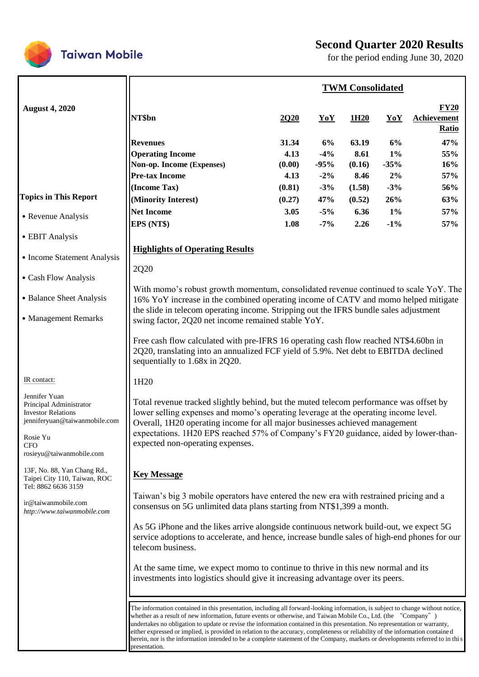



for the period ending June 30, 2020

|                                                                                                                                                              | <b>TWM Consolidated</b>                                                                                                                                                                                                                                                                                                                                                                                                                                                                                                                                                                                                                                                 |                                 |                                 |                                 |                             |                                                   |
|--------------------------------------------------------------------------------------------------------------------------------------------------------------|-------------------------------------------------------------------------------------------------------------------------------------------------------------------------------------------------------------------------------------------------------------------------------------------------------------------------------------------------------------------------------------------------------------------------------------------------------------------------------------------------------------------------------------------------------------------------------------------------------------------------------------------------------------------------|---------------------------------|---------------------------------|---------------------------------|-----------------------------|---------------------------------------------------|
| <b>August 4, 2020</b>                                                                                                                                        | NT\$bn                                                                                                                                                                                                                                                                                                                                                                                                                                                                                                                                                                                                                                                                  | <b>2020</b>                     | YoY                             | 1H <sub>20</sub>                | YoY                         | <b>FY20</b><br><b>Achievement</b><br><b>Ratio</b> |
|                                                                                                                                                              | <b>Revenues</b><br><b>Operating Income</b><br>Non-op. Income (Expenses)<br><b>Pre-tax Income</b>                                                                                                                                                                                                                                                                                                                                                                                                                                                                                                                                                                        | 31.34<br>4.13<br>(0.00)<br>4.13 | 6%<br>$-4%$<br>$-95%$<br>$-2\%$ | 63.19<br>8.61<br>(0.16)<br>8.46 | 6%<br>$1\%$<br>$-35%$<br>2% | 47%<br>55%<br>16%<br>57%                          |
| <b>Topics in This Report</b>                                                                                                                                 | (Income Tax)<br>(Minority Interest)                                                                                                                                                                                                                                                                                                                                                                                                                                                                                                                                                                                                                                     | (0.81)<br>(0.27)                | $-3%$<br>47%                    | (1.58)<br>(0.52)                | $-3%$<br>26%                | 56%<br>63%                                        |
| • Revenue Analysis                                                                                                                                           | <b>Net Income</b><br>EPS (NT\$)                                                                                                                                                                                                                                                                                                                                                                                                                                                                                                                                                                                                                                         | 3.05<br>1.08                    | $-5%$<br>$-7\%$                 | 6.36<br>2.26                    | $1\%$<br>$-1\%$             | 57%<br>57%                                        |
| • EBIT Analysis                                                                                                                                              |                                                                                                                                                                                                                                                                                                                                                                                                                                                                                                                                                                                                                                                                         |                                 |                                 |                                 |                             |                                                   |
| • Income Statement Analysis                                                                                                                                  | <b>Highlights of Operating Results</b>                                                                                                                                                                                                                                                                                                                                                                                                                                                                                                                                                                                                                                  |                                 |                                 |                                 |                             |                                                   |
| • Cash Flow Analysis                                                                                                                                         | 2Q20                                                                                                                                                                                                                                                                                                                                                                                                                                                                                                                                                                                                                                                                    |                                 |                                 |                                 |                             |                                                   |
| • Balance Sheet Analysis                                                                                                                                     | With momo's robust growth momentum, consolidated revenue continued to scale YoY. The<br>16% YoY increase in the combined operating income of CATV and momo helped mitigate                                                                                                                                                                                                                                                                                                                                                                                                                                                                                              |                                 |                                 |                                 |                             |                                                   |
| • Management Remarks                                                                                                                                         | the slide in telecom operating income. Stripping out the IFRS bundle sales adjustment<br>swing factor, 2Q20 net income remained stable YoY.                                                                                                                                                                                                                                                                                                                                                                                                                                                                                                                             |                                 |                                 |                                 |                             |                                                   |
|                                                                                                                                                              | Free cash flow calculated with pre-IFRS 16 operating cash flow reached NT\$4.60bn in<br>2Q20, translating into an annualized FCF yield of 5.9%. Net debt to EBITDA declined<br>sequentially to 1.68x in 2Q20.                                                                                                                                                                                                                                                                                                                                                                                                                                                           |                                 |                                 |                                 |                             |                                                   |
| IR contact:                                                                                                                                                  | 1H <sub>20</sub>                                                                                                                                                                                                                                                                                                                                                                                                                                                                                                                                                                                                                                                        |                                 |                                 |                                 |                             |                                                   |
| Jennifer Yuan<br>Principal Administrator<br><b>Investor Relations</b><br>jenniferyuan@taiwanmobile.com<br>Rosie Yu<br><b>CFO</b><br>rosieyu@taiwanmobile.com | Total revenue tracked slightly behind, but the muted telecom performance was offset by<br>lower selling expenses and momo's operating leverage at the operating income level.<br>Overall, 1H20 operating income for all major businesses achieved management<br>expectations. 1H20 EPS reached 57% of Company's FY20 guidance, aided by lower-than-<br>expected non-operating expenses.                                                                                                                                                                                                                                                                                 |                                 |                                 |                                 |                             |                                                   |
| 13F, No. 88, Yan Chang Rd.,<br>Taipei City 110, Taiwan, ROC                                                                                                  | <b>Key Message</b>                                                                                                                                                                                                                                                                                                                                                                                                                                                                                                                                                                                                                                                      |                                 |                                 |                                 |                             |                                                   |
| Tel: 8862 6636 3159<br>ir@taiwanmobile.com<br>http://www.taiwanmobile.com                                                                                    | Taiwan's big 3 mobile operators have entered the new era with restrained pricing and a<br>consensus on 5G unlimited data plans starting from NT\$1,399 a month.                                                                                                                                                                                                                                                                                                                                                                                                                                                                                                         |                                 |                                 |                                 |                             |                                                   |
|                                                                                                                                                              | As 5G iPhone and the likes arrive alongside continuous network build-out, we expect 5G<br>service adoptions to accelerate, and hence, increase bundle sales of high-end phones for our<br>telecom business.                                                                                                                                                                                                                                                                                                                                                                                                                                                             |                                 |                                 |                                 |                             |                                                   |
|                                                                                                                                                              | At the same time, we expect momo to continue to thrive in this new normal and its<br>investments into logistics should give it increasing advantage over its peers.                                                                                                                                                                                                                                                                                                                                                                                                                                                                                                     |                                 |                                 |                                 |                             |                                                   |
|                                                                                                                                                              | The information contained in this presentation, including all forward-looking information, is subject to change without notice,<br>whether as a result of new information, future events or otherwise, and Taiwan Mobile Co., Ltd. (the "Company")<br>undertakes no obligation to update or revise the information contained in this presentation. No representation or warranty,<br>either expressed or implied, is provided in relation to the accuracy, completeness or reliability of the information containe d<br>herein, nor is the information intended to be a complete statement of the Company, markets or developments referred to in this<br>presentation. |                                 |                                 |                                 |                             |                                                   |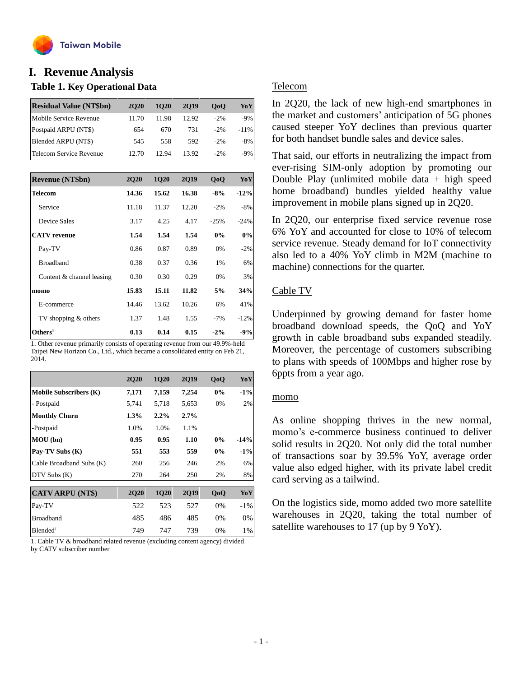

# **Table 1. Key Operational Data I. Revenue Analysis**

| <b>Residual Value (NT\$bn)</b> | <b>2020</b> | 1020  | 2019  | 0 <sub>0</sub> | YoY    |
|--------------------------------|-------------|-------|-------|----------------|--------|
| Mobile Service Revenue         | 11.70       | 11.98 | 12.92 | $-2\%$         | $-9%$  |
| Postpaid ARPU (NT\$)           | 654         | 670   | 731   | $-2\%$         | $-11%$ |
| Blended ARPU (NT\$)            | 545         | 558   | 592   | $-2\%$         | $-8%$  |
| Telecom Service Revenue        | 12.70       | 12.94 | 13.92 | $-2\%$         | -9%    |

| <b>Revenue (NT\$bn)</b>   | <b>2Q20</b> | <b>1Q20</b> | <b>2Q19</b> | QoQ    | YoY    |
|---------------------------|-------------|-------------|-------------|--------|--------|
| <b>Telecom</b>            | 14.36       | 15.62       | 16.38       | $-8%$  | $-12%$ |
| Service                   | 11.18       | 11.37       | 12.20       | $-2%$  | $-8%$  |
| Device Sales              | 3.17        | 4.25        | 4.17        | $-25%$ | $-24%$ |
| <b>CATV</b> revenue       | 1.54        | 1.54        | 1.54        | $0\%$  | 0%     |
| Pay-TV                    | 0.86        | 0.87        | 0.89        | 0%     | $-2\%$ |
| <b>Broadband</b>          | 0.38        | 0.37        | 0.36        | 1%     | 6%     |
| Content & channel leasing | 0.30        | 0.30        | 0.29        | 0%     | 3%     |
| momo                      | 15.83       | 15.11       | 11.82       | 5%     | 34%    |
| E-commerce                | 14.46       | 13.62       | 10.26       | 6%     | 41%    |
| TV shopping & others      | 1.37        | 1.48        | 1.55        | $-7%$  | $-12%$ |
| Others <sup>1</sup>       | 0.13        | 0.14        | 0.15        | $-2\%$ | $-9%$  |

1. Other revenue primarily consists of operating revenue from our 49.9%-held Taipei New Horizon Co., Ltd., which became a consolidated entity on Feb 21, 2014.

|                               | <b>2Q20</b> | <b>1Q20</b> | <b>2Q19</b> | QoQ | YoY    |
|-------------------------------|-------------|-------------|-------------|-----|--------|
| <b>Mobile Subscribers (K)</b> | 7,171       | 7,159       | 7,254       | 0%  | $-1\%$ |
| - Postpaid                    | 5,741       | 5,718       | 5,653       | 0%  | 2%     |
| <b>Monthly Churn</b>          | $1.3\%$     | $2.2\%$     | 2.7%        |     |        |
| -Postpaid                     | 1.0%        | 1.0%        | 1.1%        |     |        |
| MOU (bn)                      | 0.95        | 0.95        | 1.10        | 0%  | $-14%$ |
| Pay-TV Subs (K)               | 551         | 553         | 559         | 0%  | $-1\%$ |
| Cable Broadband Subs (K)      | 260         | 256         | 246         | 2%  | 6%     |
| DTV Subs(K)                   | 270         | 264         | 250         | 2%  | 8%     |
|                               |             |             |             |     |        |
| <b>CATV ARPU (NT\$)</b>       | <b>2Q20</b> | 1Q20        | <b>2Q19</b> | QoQ | YoY    |
| Pay-TV                        | 522         | 523         | 527         | 0%  | $-1\%$ |
| <b>Broadband</b>              | 485         | 486         | 485         | 0%  | 0%     |
| Blended <sup>1</sup>          | 749         | 747         | 739         | 0%  | 1%     |

1. Cable TV & broadband related revenue (excluding content agency) divided by CATV subscriber number

### Telecom

In 2Q20, the lack of new high-end smartphones in the market and customers' anticipation of 5G phones caused steeper YoY declines than previous quarter for both handset bundle sales and device sales.

That said, our efforts in neutralizing the impact from ever-rising SIM-only adoption by promoting our Double Play (unlimited mobile data  $+$  high speed home broadband) bundles yielded healthy value improvement in mobile plans signed up in 2Q20.

In 2Q20, our enterprise fixed service revenue rose 6% YoY and accounted for close to 10% of telecom service revenue. Steady demand for IoT connectivity also led to a 40% YoY climb in M2M (machine to machine) connections for the quarter.

## Cable TV

Underpinned by growing demand for faster home broadband download speeds, the QoQ and YoY growth in cable broadband subs expanded steadily. Moreover, the percentage of customers subscribing to plans with speeds of 100Mbps and higher rose by 6ppts from a year ago.

#### momo

As online shopping thrives in the new normal, momo's e-commerce business continued to deliver solid results in 2Q20. Not only did the total number of transactions soar by 39.5% YoY, average order value also edged higher, with its private label credit card serving as a tailwind.

On the logistics side, momo added two more satellite warehouses in 2Q20, taking the total number of satellite warehouses to 17 (up by 9 YoY).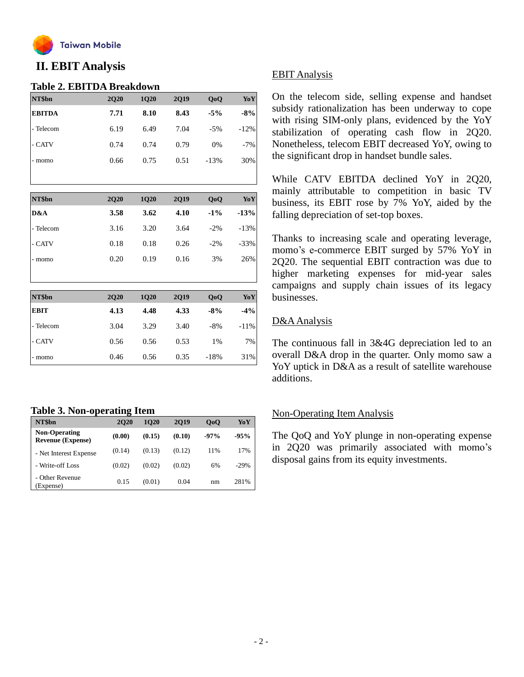

# **II. EBIT Analysis**

#### **Table 2. EBITDA Breakdown**

| NT\$bn        | <b>2Q20</b> | 1Q20 | <b>2Q19</b> | QoQ    | YoY    |
|---------------|-------------|------|-------------|--------|--------|
| <b>EBITDA</b> | 7.71        | 8.10 | 8.43        | $-5%$  | $-8%$  |
| - Telecom     | 6.19        | 6.49 | 7.04        | $-5%$  | $-12%$ |
| - CATV        | 0.74        | 0.74 | 0.79        | 0%     | $-7\%$ |
| - momo        | 0.66        | 0.75 | 0.51        | $-13%$ | 30%    |
|               |             |      |             |        |        |

| NT\$bn    | <b>2Q20</b> | <b>1Q20</b> | <b>2Q19</b> | QoQ    | YoY     |
|-----------|-------------|-------------|-------------|--------|---------|
| D&A       | 3.58        | 3.62        | 4.10        | $-1\%$ | $-13%$  |
| - Telecom | 3.16        | 3.20        | 3.64        | $-2\%$ | $-13%$  |
| - CATV    | 0.18        | 0.18        | 0.26        | $-2%$  | $-33\%$ |
| - momo    | 0.20        | 0.19        | 0.16        | 3%     | 26%     |
|           |             |             |             |        |         |

| NT\$bn      | <b>2Q20</b> | <b>1Q20</b> | <b>2Q19</b> | QoQ    | YoY     |
|-------------|-------------|-------------|-------------|--------|---------|
| <b>EBIT</b> | 4.13        | 4.48        | 4.33        | $-8%$  | $-4%$   |
| - Telecom   | 3.04        | 3.29        | 3.40        | $-8%$  | $-11\%$ |
| - CATV      | 0.56        | 0.56        | 0.53        | 1%     | 7%      |
| - momo      | 0.46        | 0.56        | 0.35        | $-18%$ | 31%     |

## **Table 3. Non-operating Item**

| NT\$bn                                           | <b>2020</b> | <b>1020</b> | 2019   | QoQ    | YoY    |
|--------------------------------------------------|-------------|-------------|--------|--------|--------|
| <b>Non-Operating</b><br><b>Revenue (Expense)</b> | (0.00)      | (0.15)      | (0.10) | $-97%$ | $-95%$ |
| - Net Interest Expense                           | (0.14)      | (0.13)      | (0.12) | 11%    | 17%    |
| - Write-off Loss                                 | (0.02)      | (0.02)      | (0.02) | 6%     | $-29%$ |
| - Other Revenue<br>(Expense)                     | 0.15        | (0.01)      | 0.04   | nm     | 281%   |

## EBIT Analysis

On the telecom side, selling expense and handset subsidy rationalization has been underway to cope with rising SIM-only plans, evidenced by the YoY stabilization of operating cash flow in 2Q20. Nonetheless, telecom EBIT decreased YoY, owing to the significant drop in handset bundle sales.

While CATV EBITDA declined YoY in 2Q20, mainly attributable to competition in basic TV business, its EBIT rose by 7% YoY, aided by the falling depreciation of set-top boxes.

Thanks to increasing scale and operating leverage, momo's e-commerce EBIT surged by 57% YoY in 2Q20. The sequential EBIT contraction was due to higher marketing expenses for mid-year sales campaigns and supply chain issues of its legacy businesses.

## D&AAnalysis

The continuous fall in 3&4G depreciation led to an overall D&A drop in the quarter. Only momo saw a YoY uptick in D&A as a result of satellite warehouse additions.

## Non-Operating Item Analysis

The QoQ and YoY plunge in non-operating expense in 2Q20 was primarily associated with momo's disposal gains from its equity investments.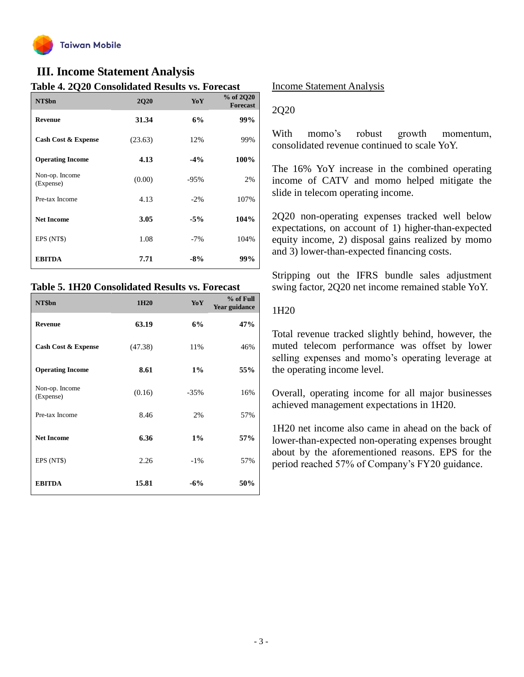

# **III. Income Statement Analysis**

### **Table 4. 2Q20 Consolidated Results vs. Forecast**

| Table + = Q = 0 Consolidated results vs. 1 or case<br>NT\$bn | <b>2Q20</b> | YoY    | % of 2Q20<br><b>Forecast</b> |
|--------------------------------------------------------------|-------------|--------|------------------------------|
| <b>Revenue</b>                                               | 31.34       | 6%     | 99%                          |
| Cash Cost & Expense                                          | (23.63)     | 12%    | 99%                          |
| <b>Operating Income</b>                                      | 4.13        | $-4%$  | 100%                         |
| Non-op. Income<br>(Expense)                                  | (0.00)      | $-95%$ | 2%                           |
| Pre-tax Income                                               | 4.13        | $-2\%$ | 107%                         |
| <b>Net Income</b>                                            | 3.05        | $-5%$  | 104%                         |
| EPS (NT\$)                                                   | 1.08        | $-7%$  | 104%                         |
| <b>EBITDA</b>                                                | 7.71        | $-8%$  | 99%                          |

#### **Table 5. 1H20 Consolidated Results vs. Forecast**

| NT\$bn                      | 1H <sub>20</sub> | YoY    | % of Full<br>Year guidance |
|-----------------------------|------------------|--------|----------------------------|
| <b>Revenue</b>              | 63.19            | 6%     | 47%                        |
| Cash Cost & Expense         | (47.38)          | 11%    | 46%                        |
| <b>Operating Income</b>     | 8.61             | $1\%$  | 55%                        |
| Non-op. Income<br>(Expense) | (0.16)           | $-35%$ | 16%                        |
| Pre-tax Income              | 8.46             | 2%     | 57%                        |
| <b>Net Income</b>           | 6.36             | 1%     | 57%                        |
| EPS (NT\$)                  | 2.26             | $-1\%$ | 57%                        |
| <b>EBITDA</b>               | 15.81            | $-6%$  | 50%                        |

#### Income Statement Analysis

#### 2Q20

With momo's robust growth momentum, consolidated revenue continued to scale YoY.

The 16% YoY increase in the combined operating income of CATV and momo helped mitigate the slide in telecom operating income.

2Q20 non-operating expenses tracked well below expectations, on account of 1) higher-than-expected equity income, 2) disposal gains realized by momo and 3) lower-than-expected financing costs.

Stripping out the IFRS bundle sales adjustment swing factor, 2Q20 net income remained stable YoY.

### 1H20

Total revenue tracked slightly behind, however, the muted telecom performance was offset by lower selling expenses and momo's operating leverage at the operating income level.

Overall, operating income for all major businesses achieved management expectations in 1H20.

1H20 net income also came in ahead on the back of lower-than-expected non-operating expenses brought about by the aforementioned reasons. EPS for the period reached 57% of Company's FY20 guidance.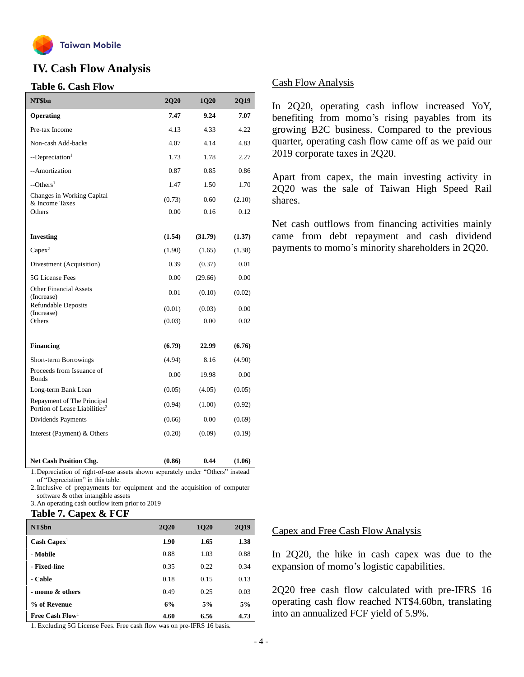

# **IV. Cash Flow Analysis**

#### **Table 6. Cash Flow**

| NT\$bn                                                                  | 2Q20   | 1Q20    | 2Q19   |
|-------------------------------------------------------------------------|--------|---------|--------|
| Operating                                                               | 7.47   | 9.24    | 7.07   |
| Pre-tax Income                                                          | 4.13   | 4.33    | 4.22   |
| Non-cash Add-backs                                                      | 4.07   | 4.14    | 4.83   |
| --Depreciation <sup>1</sup>                                             | 1.73   | 1.78    | 2.27   |
| --Amortization                                                          | 0.87   | 0.85    | 0.86   |
| $-$ Others <sup>1</sup>                                                 | 1.47   | 1.50    | 1.70   |
| Changes in Working Capital<br>& Income Taxes                            | (0.73) | 0.60    | (2.10) |
| Others                                                                  | 0.00   | 0.16    | 0.12   |
|                                                                         |        |         |        |
| <b>Investing</b>                                                        | (1.54) | (31.79) | (1.37) |
| $Capex^2$                                                               | (1.90) | (1.65)  | (1.38) |
| Divestment (Acquisition)                                                | 0.39   | (0.37)  | 0.01   |
| 5G License Fees                                                         | 0.00   | (29.66) | 0.00   |
| <b>Other Financial Assets</b><br>(Increase)                             | 0.01   | (0.10)  | (0.02) |
| <b>Refundable Deposits</b><br>(Increase)                                | (0.01) | (0.03)  | 0.00   |
| Others                                                                  | (0.03) | 0.00    | 0.02   |
| <b>Financing</b>                                                        | (6.79) | 22.99   | (6.76) |
|                                                                         |        |         |        |
| Short-term Borrowings<br>Proceeds from Issuance of                      | (4.94) | 8.16    | (4.90) |
| <b>Bonds</b>                                                            | 0.00   | 19.98   | 0.00   |
| Long-term Bank Loan                                                     | (0.05) | (4.05)  | (0.05) |
| Repayment of The Principal<br>Portion of Lease Liabilities <sup>3</sup> | (0.94) | (1.00)  | (0.92) |
| Dividends Payments                                                      | (0.66) | 0.00    | (0.69) |
| Interest (Payment) & Others                                             | (0.20) | (0.09)  | (0.19) |
|                                                                         |        |         |        |
| Net Cash Position Chg.<br>$c \rightarrow 1$                             | (0.86) | 0.44    | (1.06) |

1.Depreciation of right-of-use assets shown separately under "Others" instead of "Depreciation" in this table.

2.Inclusive of prepayments for equipment and the acquisition of computer software & other intangible assets

3.An operating cash outflow item prior to 2019

## **Table 7. Capex & FCF**

| NT\$bn                                                                                                                                                              | <b>2Q20</b> | <b>1Q20</b>                | <b>2Q19</b> |
|---------------------------------------------------------------------------------------------------------------------------------------------------------------------|-------------|----------------------------|-------------|
| $Cash \text{ Capex}$                                                                                                                                                | 1.90        | 1.65                       | 1.38        |
| - Mobile                                                                                                                                                            | 0.88        | 1.03                       | 0.88        |
| - Fixed-line                                                                                                                                                        | 0.35        | 0.22                       | 0.34        |
| - Cable                                                                                                                                                             | 0.18        | 0.15                       | 0.13        |
| - momo & others                                                                                                                                                     | 0.49        | 0.25                       | 0.03        |
| % of Revenue                                                                                                                                                        | 6%          | 5%                         | 5%          |
| Free Cash $Flow1$<br>$\mathbf{r}$ , $\mathbf{r}$ , $\mathbf{r}$ , $\mathbf{r}$ , $\mathbf{r}$ , $\mathbf{r}$<br>$\sim$ $\sim$<br>$\overline{\phantom{a}}$<br>$\sim$ | 4.60        | 6.56<br><b>TTD 0 1 2 1</b> | 4.73        |

1. Excluding 5G License Fees. Free cash flow was on pre-IFRS 16 basis.

## Cash Flow Analysis

In 2Q20, operating cash inflow increased YoY, benefiting from momo's rising payables from its growing B2C business. Compared to the previous quarter, operating cash flow came off as we paid our 2019 corporate taxes in 2Q20.

Apart from capex, the main investing activity in 2Q20 was the sale of Taiwan High Speed Rail shares.

Net cash outflows from financing activities mainly came from debt repayment and cash dividend payments to momo's minority shareholders in 2Q20.

## Capex and Free Cash Flow Analysis

In 2Q20, the hike in cash capex was due to the expansion of momo's logistic capabilities.

2Q20 free cash flow calculated with pre-IFRS 16 operating cash flow reached NT\$4.60bn, translating into an annualized FCF yield of 5.9%.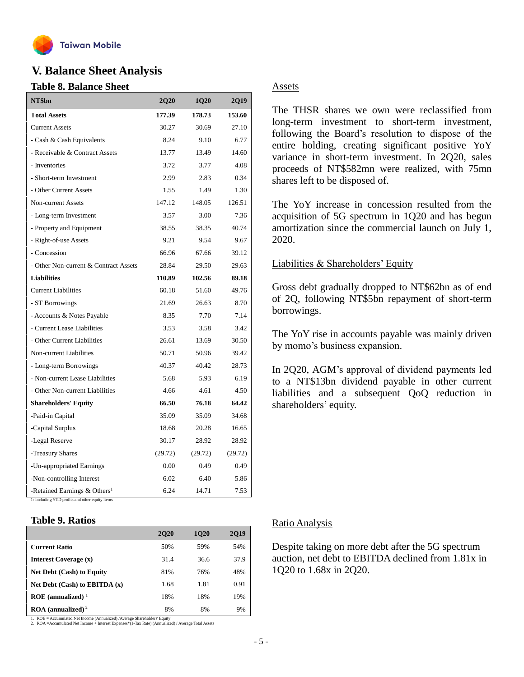

# **V. Balance Sheet Analysis**

#### **Table 8. Balance Sheet**

| NT\$bn                                   | <b>2Q20</b> | <b>1Q20</b> | 2Q19    |
|------------------------------------------|-------------|-------------|---------|
| <b>Total Assets</b>                      | 177.39      | 178.73      | 153.60  |
| <b>Current Assets</b>                    | 30.27       | 30.69       | 27.10   |
| - Cash & Cash Equivalents                | 8.24        | 9.10        | 6.77    |
| - Receivable & Contract Assets           | 13.77       | 13.49       | 14.60   |
| - Inventories                            | 3.72        | 3.77        | 4.08    |
| - Short-term Investment                  | 2.99        | 2.83        | 0.34    |
| - Other Current Assets                   | 1.55        | 1.49        | 1.30    |
| Non-current Assets                       | 147.12      | 148.05      | 126.51  |
| - Long-term Investment                   | 3.57        | 3.00        | 7.36    |
| - Property and Equipment                 | 38.55       | 38.35       | 40.74   |
| - Right-of-use Assets                    | 9.21        | 9.54        | 9.67    |
| - Concession                             | 66.96       | 67.66       | 39.12   |
| - Other Non-current & Contract Assets    | 28.84       | 29.50       | 29.63   |
| <b>Liabilities</b>                       | 110.89      | 102.56      | 89.18   |
| <b>Current Liabilities</b>               | 60.18       | 51.60       | 49.76   |
| - ST Borrowings                          | 21.69       | 26.63       | 8.70    |
| - Accounts & Notes Payable               | 8.35        | 7.70        | 7.14    |
| - Current Lease Liabilities              | 3.53        | 3.58        | 3.42    |
| - Other Current Liabilities              | 26.61       | 13.69       | 30.50   |
| Non-current Liabilities                  | 50.71       | 50.96       | 39.42   |
| - Long-term Borrowings                   | 40.37       | 40.42       | 28.73   |
| - Non-current Lease Liabilities          | 5.68        | 5.93        | 6.19    |
| - Other Non-current Liabilities          | 4.66        | 4.61        | 4.50    |
| <b>Shareholders' Equity</b>              | 66.50       | 76.18       | 64.42   |
| -Paid-in Capital                         | 35.09       | 35.09       | 34.68   |
| -Capital Surplus                         | 18.68       | 20.28       | 16.65   |
| -Legal Reserve                           | 30.17       | 28.92       | 28.92   |
| -Treasury Shares                         | (29.72)     | (29.72)     | (29.72) |
| -Un-appropriated Earnings                | 0.00        | 0.49        | 0.49    |
| -Non-controlling Interest                | 6.02        | 6.40        | 5.86    |
| -Retained Earnings & Others <sup>1</sup> | 6.24        | 14.71       | 7.53    |

1: Including YTD profits and other equity items

#### **Table 9. Ratios**

|                                               | <b>2020</b> | <b>1020</b> | 2019 |
|-----------------------------------------------|-------------|-------------|------|
| <b>Current Ratio</b>                          | 50%         | 59%         | 54%  |
| Interest Coverage (x)                         | 31.4        | 36.6        | 37.9 |
| <b>Net Debt (Cash) to Equity</b>              | 81%         | 76%         | 48%  |
| Net Debt $(Cash)$ to EBITDA $(x)$             | 1.68        | 1.81        | 0.91 |
| $ROE$ (annualized) <sup>1</sup>               | 18%         | 18%         | 19%  |
| $\textbf{ROA}$ (annualized) <sup>2</sup><br>. | 8%          | 8%          | 9%   |

1. ROE = Accumulated Net Income (Annualized) /Average Shareholders' Equity 2. ROA =Accumulated Net Income + Interest Expenses\*(1-Tax Rate) (Annualized) / Average Total Assets

#### Assets

The THSR shares we own were reclassified from long-term investment to short-term investment, following the Board's resolution to dispose of the entire holding, creating significant positive YoY variance in short-term investment. In 2Q20, sales proceeds of NT\$582mn were realized, with 75mn shares left to be disposed of.

The YoY increase in concession resulted from the acquisition of 5G spectrum in 1Q20 and has begun amortization since the commercial launch on July 1, 2020.

#### Liabilities & Shareholders' Equity

Gross debt gradually dropped to NT\$62bn as of end of 2Q, following NT\$5bn repayment of short-term borrowings.

The YoY rise in accounts payable was mainly driven by momo's business expansion.

In 2Q20, AGM's approval of dividend payments led to a NT\$13bn dividend payable in other current liabilities and a subsequent QoQ reduction in shareholders' equity.

#### Ratio Analysis

Despite taking on more debt after the 5G spectrum auction, net debt to EBITDA declined from 1.81x in 1Q20 to 1.68x in 2Q20.